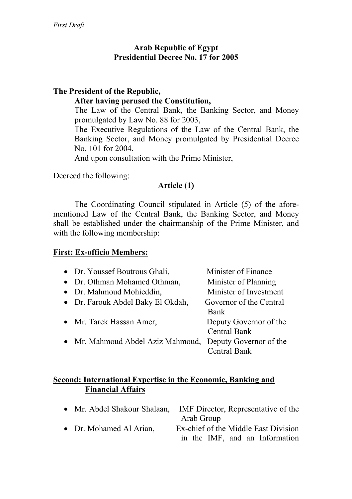# **Arab Republic of Egypt Presidential Decree No. 17 for 2005**

# **The President of the Republic,**

### **After having perused the Constitution,**

The Law of the Central Bank, the Banking Sector, and Money promulgated by Law No. 88 for 2003,

The Executive Regulations of the Law of the Central Bank, the Banking Sector, and Money promulgated by Presidential Decree No. 101 for 2004,

And upon consultation with the Prime Minister,

Decreed the following:

# **Article (1)**

The Coordinating Council stipulated in Article (5) of the aforementioned Law of the Central Bank, the Banking Sector, and Money shall be established under the chairmanship of the Prime Minister, and with the following membership:

### **First: Ex-officio Members:**

| • Dr. Youssef Boutrous Ghali,     | Minister of Finance     |
|-----------------------------------|-------------------------|
| • Dr. Othman Mohamed Othman,      | Minister of Planning    |
| • Dr. Mahmoud Mohieddin,          | Minister of Investment  |
| • Dr. Farouk Abdel Baky El Okdah, | Governor of the Central |
|                                   | Bank                    |
| • Mr. Tarek Hassan Amer,          | Deputy Governor of the  |
|                                   | <b>Central Bank</b>     |
| • Mr. Mahmoud Abdel Aziz Mahmoud, | Deputy Governor of the  |
|                                   | <b>Central Bank</b>     |

## **Second: International Expertise in the Economic, Banking and Financial Affairs**

|                         | • Mr. Abdel Shakour Shalaan, IMF Director, Representative of the |
|-------------------------|------------------------------------------------------------------|
|                         | Arab Group                                                       |
| • Dr. Mohamed Al Arian, | Ex-chief of the Middle East Division                             |
|                         | in the IMF, and an Information                                   |